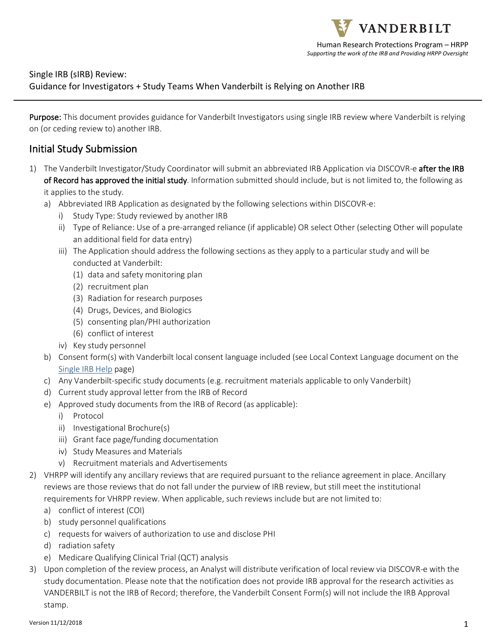### Single IRB (sIRB) Review: Guidance for Investigators + Study Teams When Vanderbilt is Relying on Another IRB

Purpose: This document provides guidance for Vanderbilt Investigators using single IRB review where Vanderbilt is relying on (or ceding review to) another IRB.

## Initial Study Submission

- 1) The Vanderbilt Investigator/Study Coordinator will submit an abbreviated IRB Application via DISCOVR-e after the IRB of Record has approved the initial study. Information submitted should include, but is not limited to, the following as it applies to the study.
	- a) Abbreviated IRB Application as designated by the following selections within DISCOVR-e:
		- Study Type: Study reviewed by another IRB
		- ii) Type of Reliance: Use of a pre-arranged reliance (if applicable) OR select Other (selecting Other will populate an additional field for data entry)
		- iii) The Application should address the following sections as they apply to a particular study and will be conducted at Vanderbilt:
			- (1) data and safety monitoring plan
			- (2) recruitment plan
			- (3) Radiation for research purposes
			- (4) Drugs, Devices, and Biologics
			- (5) consenting plan/PHI authorization
			- (6) conflict of interest
		- iv) Key study personnel
	- b) Consent form(s) with Vanderbilt local consent language included (see Local Context Language document on the Single IRB Help page)
	- c) Any Vanderbilt-specific study documents (e.g. recruitment materials applicable to only Vanderbilt)
	- d) Current study approval letter from the IRB of Record
	- e) Approved study documents from the IRB of Record (as applicable):
		- i) Protocol
		- ii) Investigational Brochure(s)
		- iii) Grant face page/funding documentation
		- iv) Study Measures and Materials
		- v) Recruitment materials and Advertisements
- 2) VHRPP will identify any ancillary reviews that are required pursuant to the reliance agreement in place. Ancillary reviews are those reviews that do not fall under the purview of IRB review, but still meet the institutional requirements for VHRPP review. When applicable, such reviews include but are not limited to:
	- a) conflict of interest (COI)
	- b) study personnel qualifications
	- c) requests for waivers of authorization to use and disclose PHI
	- d) radiation safety
	- e) Medicare Qualifying Clinical Trial (QCT) analysis
- 3) Upon completion of the review process, an Analyst will distribute verification of local review via DISCOVR-e with the study documentation. Please note that the notification does not provide IRB approval for the research activities as VANDERBILT is not the IRB of Record; therefore, the Vanderbilt Consent Form(s) will not include the IRB Approval stamp.